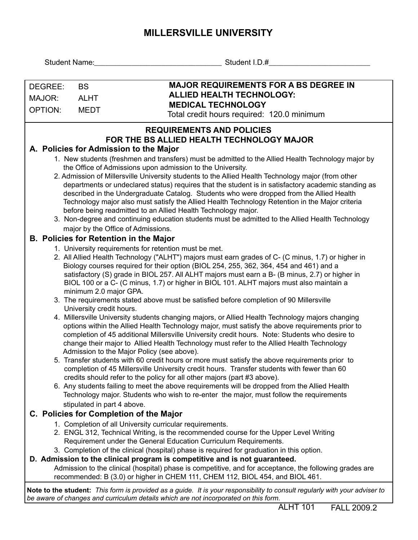## **MILLERSVILLE UNIVERSITY**

| Student I.D.#                                                                                                                                                                                                     |  |  |  |  |  |  |  |  |  |  |  |
|-------------------------------------------------------------------------------------------------------------------------------------------------------------------------------------------------------------------|--|--|--|--|--|--|--|--|--|--|--|
|                                                                                                                                                                                                                   |  |  |  |  |  |  |  |  |  |  |  |
| <b>MAJOR REQUIREMENTS FOR A BS DEGREE IN</b><br>DEGREE:<br><b>BS</b>                                                                                                                                              |  |  |  |  |  |  |  |  |  |  |  |
| <b>ALLIED HEALTH TECHNOLOGY:</b><br><b>ALHT</b><br>MAJOR:                                                                                                                                                         |  |  |  |  |  |  |  |  |  |  |  |
| <b>MEDICAL TECHNOLOGY</b><br><b>OPTION:</b><br><b>MEDT</b>                                                                                                                                                        |  |  |  |  |  |  |  |  |  |  |  |
| Total credit hours required: 120.0 minimum                                                                                                                                                                        |  |  |  |  |  |  |  |  |  |  |  |
| <b>REQUIREMENTS AND POLICIES</b>                                                                                                                                                                                  |  |  |  |  |  |  |  |  |  |  |  |
| FOR THE BS ALLIED HEALTH TECHNOLOGY MAJOR                                                                                                                                                                         |  |  |  |  |  |  |  |  |  |  |  |
| A. Policies for Admission to the Major                                                                                                                                                                            |  |  |  |  |  |  |  |  |  |  |  |
| 1. New students (freshmen and transfers) must be admitted to the Allied Health Technology major by                                                                                                                |  |  |  |  |  |  |  |  |  |  |  |
| the Office of Admissions upon admission to the University.                                                                                                                                                        |  |  |  |  |  |  |  |  |  |  |  |
| 2. Admission of Millersville University students to the Allied Health Technology major (from other<br>departments or undeclared status) requires that the student is in satisfactory academic standing as         |  |  |  |  |  |  |  |  |  |  |  |
| described in the Undergraduate Catalog. Students who were dropped from the Allied Health                                                                                                                          |  |  |  |  |  |  |  |  |  |  |  |
| Technology major also must satisfy the Allied Health Technology Retention in the Major criteria                                                                                                                   |  |  |  |  |  |  |  |  |  |  |  |
| before being readmitted to an Allied Health Technology major.                                                                                                                                                     |  |  |  |  |  |  |  |  |  |  |  |
| 3. Non-degree and continuing education students must be admitted to the Allied Health Technology                                                                                                                  |  |  |  |  |  |  |  |  |  |  |  |
| major by the Office of Admissions.                                                                                                                                                                                |  |  |  |  |  |  |  |  |  |  |  |
| <b>B. Policies for Retention in the Major</b>                                                                                                                                                                     |  |  |  |  |  |  |  |  |  |  |  |
| 1. University requirements for retention must be met.<br>2. All Allied Health Technology ("ALHT") majors must earn grades of C- (C minus, 1.7) or higher in                                                       |  |  |  |  |  |  |  |  |  |  |  |
| Biology courses required for their option (BIOL 254, 255, 362, 364, 454 and 461) and a                                                                                                                            |  |  |  |  |  |  |  |  |  |  |  |
| satisfactory (S) grade in BIOL 257. All ALHT majors must earn a B- (B minus, 2.7) or higher in                                                                                                                    |  |  |  |  |  |  |  |  |  |  |  |
| BIOL 100 or a C- (C minus, 1.7) or higher in BIOL 101. ALHT majors must also maintain a                                                                                                                           |  |  |  |  |  |  |  |  |  |  |  |
| minimum 2.0 major GPA.                                                                                                                                                                                            |  |  |  |  |  |  |  |  |  |  |  |
| 3. The requirements stated above must be satisfied before completion of 90 Millersville<br>University credit hours.                                                                                               |  |  |  |  |  |  |  |  |  |  |  |
| 4. Millersville University students changing majors, or Allied Health Technology majors changing                                                                                                                  |  |  |  |  |  |  |  |  |  |  |  |
| options within the Allied Health Technology major, must satisfy the above requirements prior to                                                                                                                   |  |  |  |  |  |  |  |  |  |  |  |
| completion of 45 additional Millersville University credit hours. Note: Students who desire to                                                                                                                    |  |  |  |  |  |  |  |  |  |  |  |
| change their major to Allied Health Technology must refer to the Allied Health Technology                                                                                                                         |  |  |  |  |  |  |  |  |  |  |  |
| Admission to the Major Policy (see above).<br>5. Transfer students with 60 credit hours or more must satisfy the above requirements prior to                                                                      |  |  |  |  |  |  |  |  |  |  |  |
| completion of 45 Millersville University credit hours. Transfer students with fewer than 60                                                                                                                       |  |  |  |  |  |  |  |  |  |  |  |
| credits should refer to the policy for all other majors (part #3 above).                                                                                                                                          |  |  |  |  |  |  |  |  |  |  |  |
| 6. Any students failing to meet the above requirements will be dropped from the Allied Health                                                                                                                     |  |  |  |  |  |  |  |  |  |  |  |
| Technology major. Students who wish to re-enter the major, must follow the requirements                                                                                                                           |  |  |  |  |  |  |  |  |  |  |  |
| stipulated in part 4 above.                                                                                                                                                                                       |  |  |  |  |  |  |  |  |  |  |  |
| C. Policies for Completion of the Major                                                                                                                                                                           |  |  |  |  |  |  |  |  |  |  |  |
| 1. Completion of all University curricular requirements.<br>2. ENGL 312, Technical Writing, is the recommended course for the Upper Level Writing                                                                 |  |  |  |  |  |  |  |  |  |  |  |
| Requirement under the General Education Curriculum Requirements.                                                                                                                                                  |  |  |  |  |  |  |  |  |  |  |  |
| 3. Completion of the clinical (hospital) phase is required for graduation in this option.                                                                                                                         |  |  |  |  |  |  |  |  |  |  |  |
| D. Admission to the clinical program is competitive and is not guaranteed.                                                                                                                                        |  |  |  |  |  |  |  |  |  |  |  |
| Admission to the clinical (hospital) phase is competitive, and for acceptance, the following grades are                                                                                                           |  |  |  |  |  |  |  |  |  |  |  |
| recommended: B (3.0) or higher in CHEM 111, CHEM 112, BIOL 454, and BIOL 461.                                                                                                                                     |  |  |  |  |  |  |  |  |  |  |  |
| Note to the student: This form is provided as a guide. It is your responsibility to consult regularly with your adviser to<br>be aware of changes and curriculum details which are not incorporated on this form. |  |  |  |  |  |  |  |  |  |  |  |